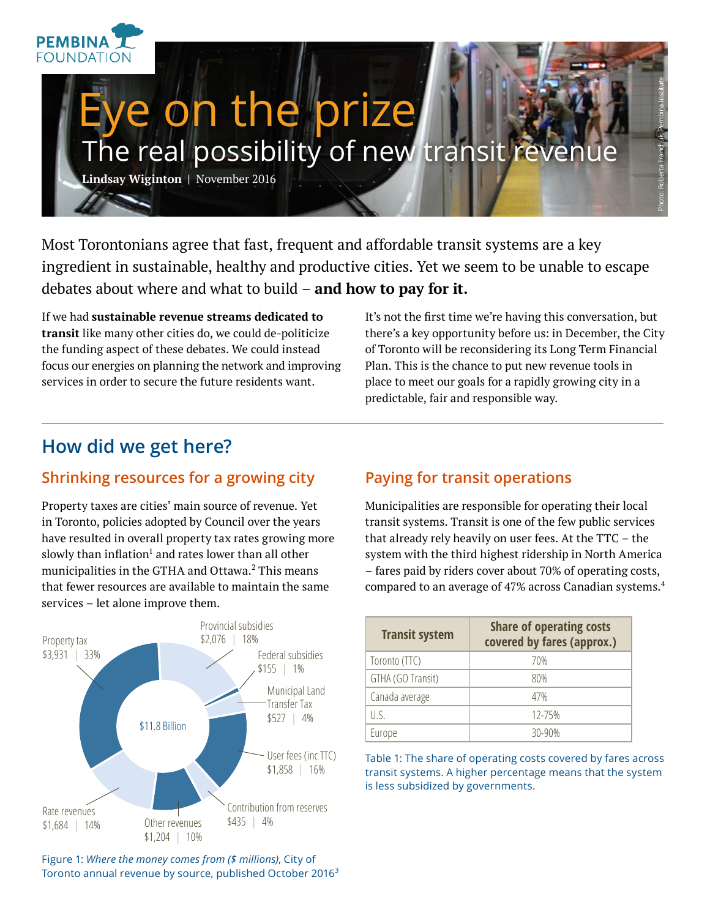

Most Torontonians agree that fast, frequent and affordable transit systems are a key ingredient in sustainable, healthy and productive cities. Yet we seem to be unable to escape debates about where and what to build – **and how to pay for it.**

If we had **sustainable revenue streams dedicated to transit** like many other cities do, we could de-politicize the funding aspect of these debates. We could instead focus our energies on planning the network and improving services in order to secure the future residents want.

It's not the first time we're having this conversation, but there's a key opportunity before us: in December, the City of Toronto will be reconsidering its Long Term Financial Plan. This is the chance to put new revenue tools in place to meet our goals for a rapidly growing city in a predictable, fair and responsible way.

## **How did we get here?**

#### **Shrinking resources for a growing city**

Property taxes are cities' main source of revenue. Yet in Toronto, policies adopted by Council over the years have resulted in overall property tax rates growing more slowly than inflation $^{\rm l}$  and rates lower than all other municipalities in the GTHA and Ottawa. $^2$  This means that fewer resources are available to maintain the same services – let alone improve them.



Figure 1: *Where the money comes from (\$ millions)*, City of Toronto annual revenue by source, published October 2016<sup>3</sup>

#### **Paying for transit operations**

Municipalities are responsible for operating their local transit systems. Transit is one of the few public services that already rely heavily on user fees. At the TTC – the system with the third highest ridership in North America – fares paid by riders cover about 70% of operating costs, compared to an average of 47% across Canadian systems.<sup>4</sup>

| <b>Transit system</b> | <b>Share of operating costs</b><br>covered by fares (approx.) |
|-----------------------|---------------------------------------------------------------|
| Toronto (TTC)         | 70%                                                           |
| GTHA (GO Transit)     | 80%                                                           |
| Canada average        | 47%                                                           |
| U.S.                  | 12-75%                                                        |
| Europe                | $30 - 90%$                                                    |

Table 1: The share of operating costs covered by fares across transit systems. A higher percentage means that the system is less subsidized by governments.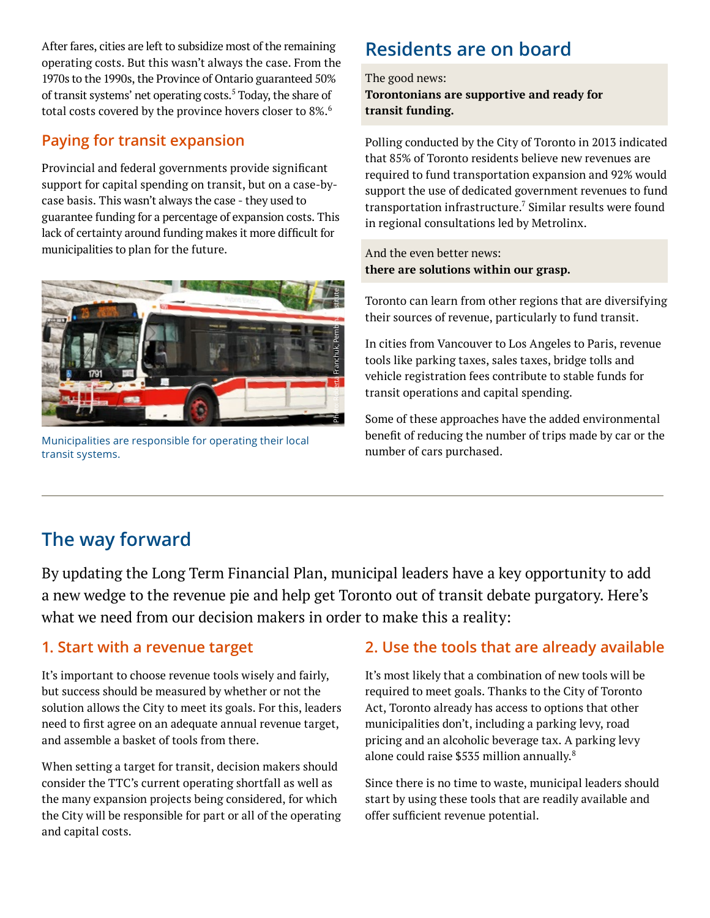After fares, cities are left to subsidize most of the remaining operating costs. But this wasn't always the case. From the 1970s to the 1990s, the Province of Ontario guaranteed 50% of transit systems' net operating costs.<sup>5</sup> Today, the share of total costs covered by the province hovers closer to 8%.<sup>6</sup>

#### **Paying for transit expansion**

Provincial and federal governments provide significant support for capital spending on transit, but on a case-bycase basis. This wasn't always the case - they used to guarantee funding for a percentage of expansion costs. This lack of certainty around funding makes it more difficult for municipalities to plan for the future.



Municipalities are responsible for operating their local transit systems.

## **Residents are on board**

The good news: **Torontonians are supportive and ready for transit funding.** 

Polling conducted by the City of Toronto in 2013 indicated that 85% of Toronto residents believe new revenues are required to fund transportation expansion and 92% would support the use of dedicated government revenues to fund transportation infrastructure. $7$  Similar results were found in regional consultations led by Metrolinx.

And the even better news: **there are solutions within our grasp.**

Toronto can learn from other regions that are diversifying their sources of revenue, particularly to fund transit.

In cities from Vancouver to Los Angeles to Paris, revenue tools like parking taxes, sales taxes, bridge tolls and vehicle registration fees contribute to stable funds for transit operations and capital spending.

Some of these approaches have the added environmental benefit of reducing the number of trips made by car or the number of cars purchased.

## **The way forward**

By updating the Long Term Financial Plan, municipal leaders have a key opportunity to add a new wedge to the revenue pie and help get Toronto out of transit debate purgatory. Here's what we need from our decision makers in order to make this a reality:

## **1. Start with a revenue target**

It's important to choose revenue tools wisely and fairly, but success should be measured by whether or not the solution allows the City to meet its goals. For this, leaders need to first agree on an adequate annual revenue target, and assemble a basket of tools from there.

When setting a target for transit, decision makers should consider the TTC's current operating shortfall as well as the many expansion projects being considered, for which the City will be responsible for part or all of the operating and capital costs.

## **2. Use the tools that are already available**

It's most likely that a combination of new tools will be required to meet goals. Thanks to the City of Toronto Act, Toronto already has access to options that other municipalities don't, including a parking levy, road pricing and an alcoholic beverage tax. A parking levy alone could raise \$535 million annually.<sup>8</sup>

Since there is no time to waste, municipal leaders should start by using these tools that are readily available and offer sufficient revenue potential.